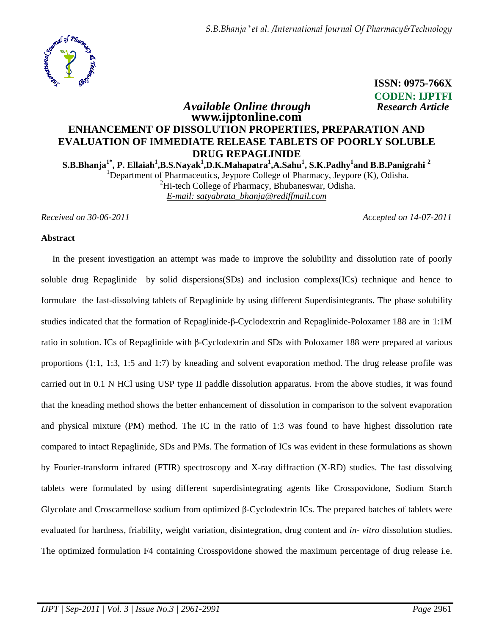

 **ISSN: 0975-766X CODEN: IJPTFI** *Available Online through Research Article*

# **www.ijptonline.com ENHANCEMENT OF DISSOLUTION PROPERTIES, PREPARATION AND EVALUATION OF IMMEDIATE RELEASE TABLETS OF POORLY SOLUBLE DRUG REPAGLINIDE**

**S.B.Bhanja1\*, P. Ellaiah<sup>1</sup> ,B.S.Nayak<sup>1</sup> ,D.K.Mahapatra<sup>1</sup> ,A.Sahu<sup>1</sup> , S.K.Padhy<sup>1</sup> and B.B.Panigrahi <sup>2</sup>** <sup>1</sup>Department of Pharmaceutics, Jeypore College of Pharmacy, Jeypore  $(K)$ , Odisha.  ${}^{2}$ Hi-tech College of Pharmacy, Bhubaneswar, Odisha.

*E-mail: satyabrata\_bhanja@rediffmail.com*

*Received on 30-06-2011 Accepted on 14-07-2011*

#### **Abstract**

 In the present investigation an attempt was made to improve the solubility and dissolution rate of poorly soluble drug Repaglinide by solid dispersions(SDs) and inclusion complexs(ICs) technique and hence to formulate the fast-dissolving tablets of Repaglinide by using different Superdisintegrants. The phase solubility studies indicated that the formation of Repaglinide-β-Cyclodextrin and Repaglinide-Poloxamer 188 are in 1:1M ratio in solution. ICs of Repaglinide with β-Cyclodextrin and SDs with Poloxamer 188 were prepared at various proportions (1:1, 1:3, 1:5 and 1:7) by kneading and solvent evaporation method. The drug release profile was carried out in 0.1 N HCl using USP type II paddle dissolution apparatus. From the above studies, it was found that the kneading method shows the better enhancement of dissolution in comparison to the solvent evaporation and physical mixture (PM) method. The IC in the ratio of 1:3 was found to have highest dissolution rate compared to intact Repaglinide, SDs and PMs. The formation of ICs was evident in these formulations as shown by Fourier-transform infrared (FTIR) spectroscopy and X-ray diffraction (X-RD) studies. The fast dissolving tablets were formulated by using different superdisintegrating agents like Crosspovidone, Sodium Starch Glycolate and Croscarmellose sodium from optimized β-Cyclodextrin ICs. The prepared batches of tablets were evaluated for hardness, friability, weight variation, disintegration, drug content and *in- vitro* dissolution studies. The optimized formulation F4 containing Crosspovidone showed the maximum percentage of drug release i.e.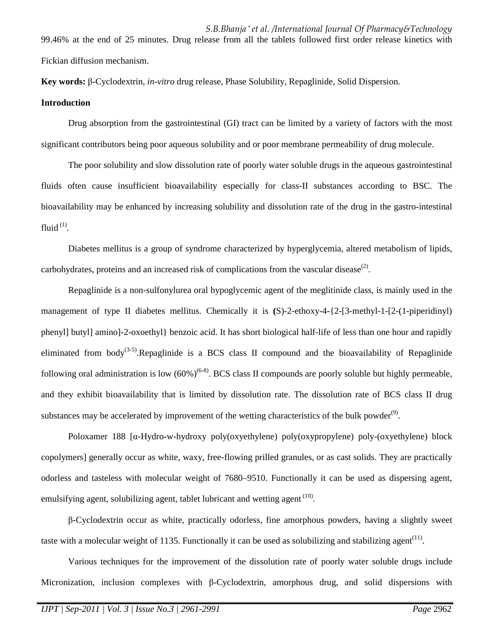*S.B.Bhanja \* et al. /International Journal Of Pharmacy&Technology* 99.46% at the end of 25 minutes. Drug release from all the tablets followed first order release kinetics with Fickian diffusion mechanism.

**Key words:** β-Cyclodextrin, *in-vitro* drug release, Phase Solubility, Repaglinide, Solid Dispersion.

#### **Introduction**

 Drug absorption from the gastrointestinal (GI) tract can be limited by a variety of factors with the most significant contributors being poor aqueous solubility and or poor membrane permeability of drug molecule.

 The poor solubility and slow dissolution rate of poorly water soluble drugs in the aqueous gastrointestinal fluids often cause insufficient bioavailability especially for class-II substances according to BSC. The bioavailability may be enhanced by increasing solubility and dissolution rate of the drug in the gastro-intestinal fluid $^{(1)}$ .

 Diabetes mellitus is a group of syndrome characterized by hyperglycemia, altered metabolism of lipids, carbohydrates, proteins and an increased risk of complications from the vascular disease<sup>(2)</sup>.

 Repaglinide is a non-sulfonylurea oral hypoglycemic agent of the meglitinide class, is mainly used in the management of type II diabetes mellitus. Chemically it is **(**S)-2-ethoxy-4-{2-[3-methyl-1-[2-(1-piperidinyl) phenyl] butyl] amino]-2-oxoethyl} benzoic acid. It has short biological half-life of less than one hour and rapidly eliminated from body<sup>(3-5)</sup>.Repaglinide is a BCS class II compound and the bioavailability of Repaglinide following oral administration is low  $(60%)^{(6-8)}$ . BCS class II compounds are poorly soluble but highly permeable, and they exhibit bioavailability that is limited by dissolution rate. The dissolution rate of BCS class II drug substances may be accelerated by improvement of the wetting characteristics of the bulk powder<sup>(9)</sup>.

 Poloxamer 188 [α-Hydro-w-hydroxy poly(oxyethylene) poly(oxypropylene) poly-(oxyethylene) block copolymers] generally occur as white, waxy, free-flowing prilled granules, or as cast solids. They are practically odorless and tasteless with molecular weight of 7680–9510. Functionally it can be used as dispersing agent, emulsifying agent, solubilizing agent, tablet lubricant and wetting agent <sup>(10)</sup>.

β-Cyclodextrin occur as white, practically odorless, fine amorphous powders, having a slightly sweet taste with a molecular weight of 1135. Functionally it can be used as solubilizing and stabilizing agent<sup>(11)</sup>.

 Various techniques for the improvement of the dissolution rate of poorly water soluble drugs include Micronization, inclusion complexes with β-Cyclodextrin, amorphous drug, and solid dispersions with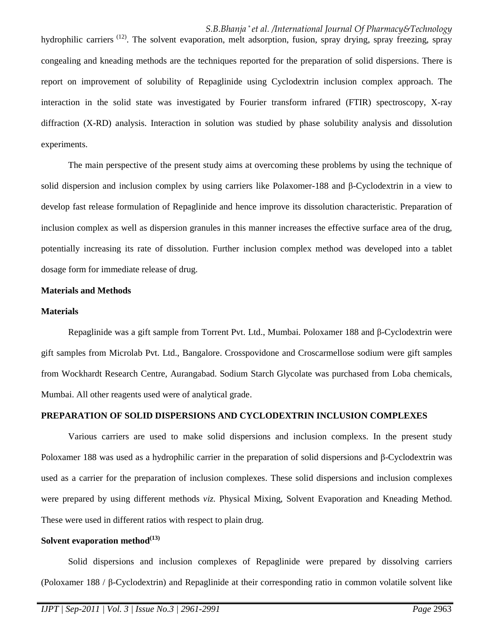hydrophilic carriers <sup>(12)</sup>. The solvent evaporation, melt adsorption, fusion, spray drying, spray freezing, spray congealing and kneading methods are the techniques reported for the preparation of solid dispersions. There is report on improvement of solubility of Repaglinide using Cyclodextrin inclusion complex approach. The interaction in the solid state was investigated by Fourier transform infrared (FTIR) spectroscopy, X-ray diffraction (X-RD) analysis. Interaction in solution was studied by phase solubility analysis and dissolution experiments.

 The main perspective of the present study aims at overcoming these problems by using the technique of solid dispersion and inclusion complex by using carriers like Polaxomer-188 and β-Cyclodextrin in a view to develop fast release formulation of Repaglinide and hence improve its dissolution characteristic. Preparation of inclusion complex as well as dispersion granules in this manner increases the effective surface area of the drug, potentially increasing its rate of dissolution. Further inclusion complex method was developed into a tablet dosage form for immediate release of drug.

#### **Materials and Methods**

#### **Materials**

 Repaglinide was a gift sample from Torrent Pvt. Ltd., Mumbai. Poloxamer 188 and β-Cyclodextrin were gift samples from Microlab Pvt. Ltd., Bangalore. Crosspovidone and Croscarmellose sodium were gift samples from Wockhardt Research Centre, Aurangabad. Sodium Starch Glycolate was purchased from Loba chemicals, Mumbai. All other reagents used were of analytical grade.

#### **PREPARATION OF SOLID DISPERSIONS AND CYCLODEXTRIN INCLUSION COMPLEXES**

 Various carriers are used to make solid dispersions and inclusion complexs. In the present study Poloxamer 188 was used as a hydrophilic carrier in the preparation of solid dispersions and β-Cyclodextrin was used as a carrier for the preparation of inclusion complexes. These solid dispersions and inclusion complexes were prepared by using different methods *viz.* Physical Mixing, Solvent Evaporation and Kneading Method. These were used in different ratios with respect to plain drug.

#### **Solvent evaporation method(13)**

 Solid dispersions and inclusion complexes of Repaglinide were prepared by dissolving carriers (Poloxamer 188 / β-Cyclodextrin) and Repaglinide at their corresponding ratio in common volatile solvent like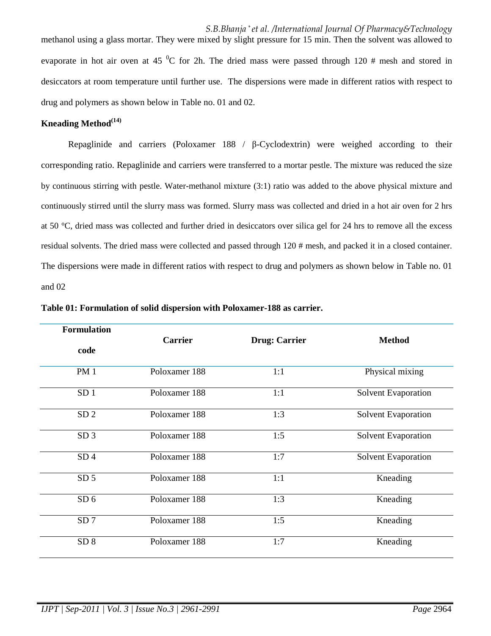*S.B.Bhanja \* et al. /International Journal Of Pharmacy&Technology* methanol using a glass mortar. They were mixed by slight pressure for 15 min. Then the solvent was allowed to evaporate in hot air oven at 45  $\rm{^0C}$  for 2h. The dried mass were passed through 120 # mesh and stored in desiccators at room temperature until further use. The dispersions were made in different ratios with respect to drug and polymers as shown below in Table no. 01 and 02.

#### **Kneading Method(14)**

Repaglinide and carriers (Poloxamer 188 / β-Cyclodextrin) were weighed according to their corresponding ratio. Repaglinide and carriers were transferred to a mortar pestle. The mixture was reduced the size by continuous stirring with pestle. Water-methanol mixture (3:1) ratio was added to the above physical mixture and continuously stirred until the slurry mass was formed. Slurry mass was collected and dried in a hot air oven for 2 hrs at 50 °C, dried mass was collected and further dried in desiccators over silica gel for 24 hrs to remove all the excess residual solvents. The dried mass were collected and passed through 120 # mesh, and packed it in a closed container. The dispersions were made in different ratios with respect to drug and polymers as shown below in Table no. 01 and 02

| <b>Formulation</b> | <b>Carrier</b> |                      |                            |  |
|--------------------|----------------|----------------------|----------------------------|--|
| code               |                | <b>Drug: Carrier</b> | <b>Method</b>              |  |
| <b>PM1</b>         | Poloxamer 188  | 1:1                  | Physical mixing            |  |
| SD <sub>1</sub>    | Poloxamer 188  | 1:1                  | Solvent Evaporation        |  |
| SD <sub>2</sub>    | Poloxamer 188  | 1:3                  | Solvent Evaporation        |  |
| SD <sub>3</sub>    | Poloxamer 188  | 1:5                  | <b>Solvent Evaporation</b> |  |
| SD <sub>4</sub>    | Poloxamer 188  | 1:7                  | Solvent Evaporation        |  |
| SD <sub>5</sub>    | Poloxamer 188  | 1:1                  | Kneading                   |  |
| SD <sub>6</sub>    | Poloxamer 188  | 1:3                  | Kneading                   |  |
| SD <sub>7</sub>    | Poloxamer 188  | 1:5                  | Kneading                   |  |
| SD 8               | Poloxamer 188  | 1:7                  | Kneading                   |  |
|                    |                |                      |                            |  |

**Table 01: Formulation of solid dispersion with Poloxamer-188 as carrier.**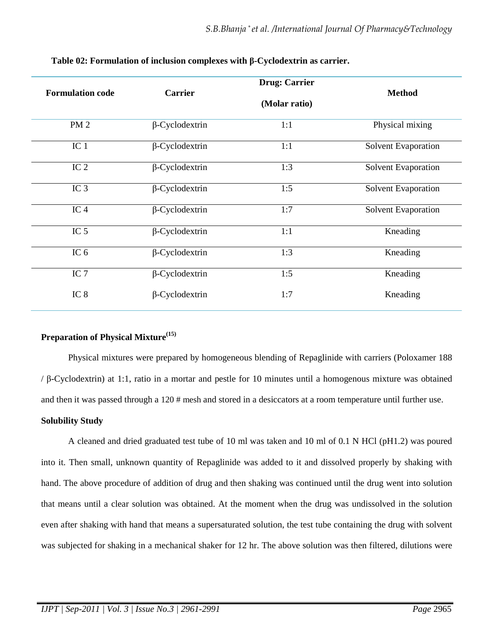|                         |                       | <b>Drug: Carrier</b> |                     |
|-------------------------|-----------------------|----------------------|---------------------|
| <b>Formulation code</b> | <b>Carrier</b>        |                      | <b>Method</b>       |
|                         |                       | (Molar ratio)        |                     |
| <b>PM2</b>              | $\beta$ -Cyclodextrin | 1:1                  | Physical mixing     |
| IC <sub>1</sub>         | $\beta$ -Cyclodextrin | 1:1                  | Solvent Evaporation |
| IC <sub>2</sub>         | $\beta$ -Cyclodextrin | 1:3                  | Solvent Evaporation |
| $\overline{IC}$ 3       | $\beta$ -Cyclodextrin | 1:5                  | Solvent Evaporation |
| IC <sub>4</sub>         | $\beta$ -Cyclodextrin | 1:7                  | Solvent Evaporation |
| IC <sub>5</sub>         | $\beta$ -Cyclodextrin | 1:1                  | Kneading            |
| IC $6$                  | $\beta$ -Cyclodextrin | 1:3                  | Kneading            |
| IC $7$                  | $\beta$ -Cyclodextrin | 1:5                  | Kneading            |
| IC <sub>8</sub>         | $\beta$ -Cyclodextrin | 1:7                  | Kneading            |

**Table 02: Formulation of inclusion complexes with β-Cyclodextrin as carrier.** 

#### **Preparation of Physical Mixture(15)**

 Physical mixtures were prepared by homogeneous blending of Repaglinide with carriers (Poloxamer 188 / β-Cyclodextrin) at 1:1, ratio in a mortar and pestle for 10 minutes until a homogenous mixture was obtained and then it was passed through a 120 # mesh and stored in a desiccators at a room temperature until further use.

#### **Solubility Study**

 A cleaned and dried graduated test tube of 10 ml was taken and 10 ml of 0.1 N HCl (pH1.2) was poured into it. Then small, unknown quantity of Repaglinide was added to it and dissolved properly by shaking with hand. The above procedure of addition of drug and then shaking was continued until the drug went into solution that means until a clear solution was obtained. At the moment when the drug was undissolved in the solution even after shaking with hand that means a supersaturated solution, the test tube containing the drug with solvent was subjected for shaking in a mechanical shaker for 12 hr. The above solution was then filtered, dilutions were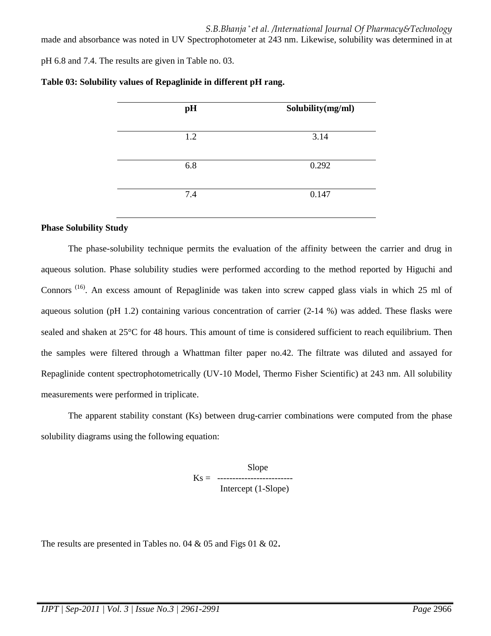*S.B.Bhanja \* et al. /International Journal Of Pharmacy&Technology* made and absorbance was noted in UV Spectrophotometer at 243 nm. Likewise, solubility was determined in at

pH 6.8 and 7.4. The results are given in Table no. 03.

| pH  | Solubility(mg/ml) |
|-----|-------------------|
| 1.2 | 3.14              |
| 6.8 | 0.292             |
| 7.4 | 0.147             |

#### **Table 03: Solubility values of Repaglinide in different pH rang.**

#### **Phase Solubility Study**

 The phase-solubility technique permits the evaluation of the affinity between the carrier and drug in aqueous solution. Phase solubility studies were performed according to the method reported by Higuchi and Connors<sup>(16)</sup>. An excess amount of Repaglinide was taken into screw capped glass vials in which 25 ml of aqueous solution (pH 1.2) containing various concentration of carrier (2-14 %) was added. These flasks were sealed and shaken at 25°C for 48 hours. This amount of time is considered sufficient to reach equilibrium. Then the samples were filtered through a Whattman filter paper no.42. The filtrate was diluted and assayed for Repaglinide content spectrophotometrically (UV-10 Model, Thermo Fisher Scientific) at 243 nm. All solubility measurements were performed in triplicate.

 The apparent stability constant (Ks) between drug-carrier combinations were computed from the phase solubility diagrams using the following equation:

> Slope Ks = ------------------------- Intercept (1-Slope)

The results are presented in Tables no. 04 & 05 and Figs 01 & 02.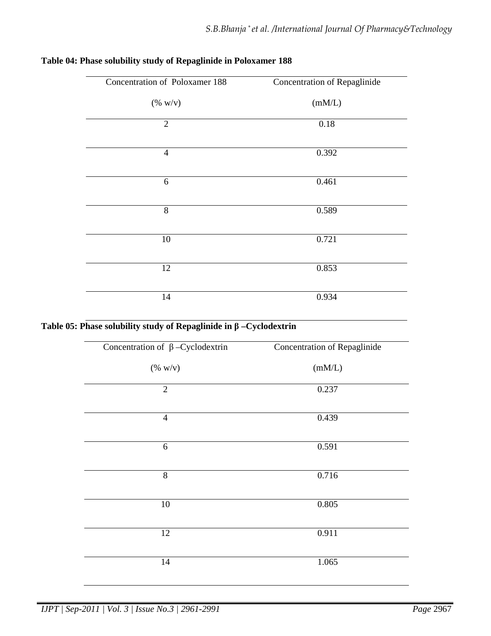| Concentration of Poloxamer 188 | Concentration of Repaglinide |
|--------------------------------|------------------------------|
| $(\% w/v)$                     | (mM/L)                       |
| $\overline{2}$                 | 0.18                         |
| $\overline{4}$                 | 0.392                        |
| 6                              | 0.461                        |
| 8                              | 0.589                        |
| 10                             | 0.721                        |
| 12                             | 0.853                        |
| 14                             | 0.934                        |

## **Table 04: Phase solubility study of Repaglinide in Poloxamer 188**

## **Table 05: Phase solubility study of Repaglinide in β –Cyclodextrin**

| Concentration of $\beta$ -Cyclodextrin | <b>Concentration of Repaglinide</b> |
|----------------------------------------|-------------------------------------|
| $(\% w/v)$                             | (mM/L)                              |
| $\mathfrak{2}$                         | 0.237                               |
| $\overline{4}$                         | 0.439                               |
| 6                                      | 0.591                               |
| $\overline{8}$                         | 0.716                               |
| 10                                     | 0.805                               |
| 12                                     | 0.911                               |
| 14                                     | 1.065                               |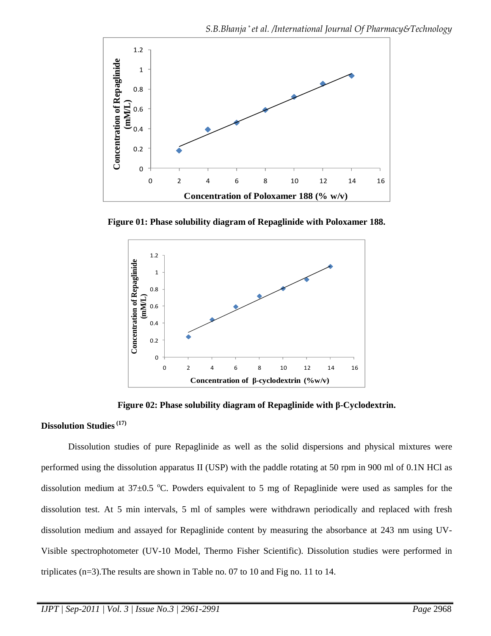

**Figure 01: Phase solubility diagram of Repaglinide with Poloxamer 188.**



**Figure 02: Phase solubility diagram of Repaglinide with β-Cyclodextrin.** 

### **Dissolution Studies (17)**

 Dissolution studies of pure Repaglinide as well as the solid dispersions and physical mixtures were performed using the dissolution apparatus II (USP) with the paddle rotating at 50 rpm in 900 ml of 0.1N HCl as dissolution medium at  $37\pm0.5$  °C. Powders equivalent to 5 mg of Repaglinide were used as samples for the dissolution test. At 5 min intervals, 5 ml of samples were withdrawn periodically and replaced with fresh dissolution medium and assayed for Repaglinide content by measuring the absorbance at 243 nm using UV-Visible spectrophotometer (UV-10 Model, Thermo Fisher Scientific). Dissolution studies were performed in triplicates (n=3).The results are shown in Table no. 07 to 10 and Fig no. 11 to 14.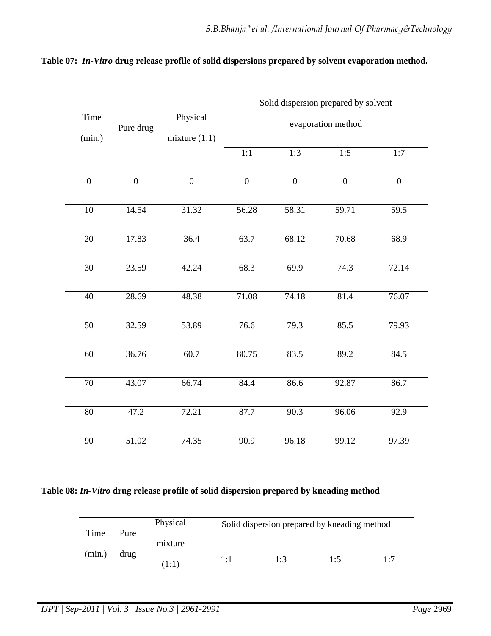|                 | Solid dispersion prepared by solvent |                 |                    |                |                |                   |  |
|-----------------|--------------------------------------|-----------------|--------------------|----------------|----------------|-------------------|--|
| Time            | Pure drug                            | Physical        | evaporation method |                |                |                   |  |
| (min.)          |                                      | mixture $(1:1)$ |                    |                |                |                   |  |
|                 |                                      |                 | 1:1                | 1:3            | 1:5            | 1:7               |  |
| $\overline{0}$  | $\overline{0}$                       | $\overline{0}$  | $\overline{0}$     | $\overline{0}$ | $\overline{0}$ | $\overline{0}$    |  |
| 10              | 14.54                                | 31.32           | 56.28              | 58.31          | 59.71          | $\overline{59.5}$ |  |
| 20              | 17.83                                | 36.4            | 63.7               | 68.12          | 70.68          | 68.9              |  |
| 30              | 23.59                                | 42.24           | 68.3               | 69.9           | 74.3           | 72.14             |  |
| 40              | 28.69                                | 48.38           | 71.08              | 74.18          | 81.4           | 76.07             |  |
| 50              | 32.59                                | 53.89           | 76.6               | 79.3           | 85.5           | 79.93             |  |
| $\overline{60}$ | 36.76                                | 60.7            | 80.75              | 83.5           | 89.2           | 84.5              |  |
| 70              | 43.07                                | 66.74           | 84.4               | 86.6           | 92.87          | 86.7              |  |
| $80\,$          | 47.2                                 | 72.21           | 87.7               | 90.3           | 96.06          | 92.9              |  |
| 90              | 51.02                                | 74.35           | 90.9               | 96.18          | 99.12          | 97.39             |  |

## **Table 07:** *In-Vitro* **drug release profile of solid dispersions prepared by solvent evaporation method.**

## **Table 08:** *In-Vitro* **drug release profile of solid dispersion prepared by kneading method**

| Time   | Pure | Physical<br>mixture |     | Solid dispersion prepared by kneading method |     |     |  |  |
|--------|------|---------------------|-----|----------------------------------------------|-----|-----|--|--|
| (min.) | drug | (1:1)               | 1:1 | 1:3                                          | 1.5 | 1.7 |  |  |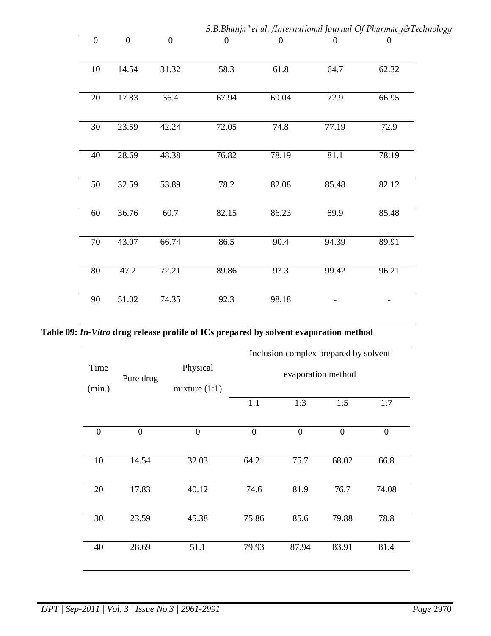|                  |                  |                |                  |                  |                  | S.B.Bhanja* et al. /International Journal Of Pharmacy&Technology |  |
|------------------|------------------|----------------|------------------|------------------|------------------|------------------------------------------------------------------|--|
| $\boldsymbol{0}$ | $\boldsymbol{0}$ | $\overline{0}$ | $\boldsymbol{0}$ | $\boldsymbol{0}$ | $\boldsymbol{0}$ | $\boldsymbol{0}$                                                 |  |
| 10               | 14.54            | 31.32          | 58.3             | 61.8             | 64.7             | 62.32                                                            |  |
| 20               | 17.83            | 36.4           | 67.94            | 69.04            | 72.9             | 66.95                                                            |  |
| 30               | 23.59            | 42.24          | 72.05            | 74.8             | 77.19            | 72.9                                                             |  |
| 40               | 28.69            | 48.38          | 76.82            | 78.19            | 81.1             | 78.19                                                            |  |
| 50               | 32.59            | 53.89          | 78.2             | 82.08            | 85.48            | 82.12                                                            |  |
| 60               | 36.76            | 60.7           | 82.15            | 86.23            | 89.9             | 85.48                                                            |  |
| 70               | 43.07            | 66.74          | 86.5             | 90.4             | 94.39            | 89.91                                                            |  |
| $80\,$           | 47.2             | 72.21          | 89.86            | 93.3             | 99.42            | 96.21                                                            |  |
| 90               | 51.02            | 74.35          | 92.3             | 98.18            |                  | -                                                                |  |

**Table 09:** *In-Vitro* **drug release profile of ICs prepared by solvent evaporation method** 

|                |                |                 | Inclusion complex prepared by solvent |                |                |                |  |
|----------------|----------------|-----------------|---------------------------------------|----------------|----------------|----------------|--|
| Time           | Pure drug      | Physical        | evaporation method                    |                |                |                |  |
| (min.)         |                | mixture $(1:1)$ |                                       |                |                |                |  |
|                |                |                 | 1:1                                   | 1:3            | 1:5            | 1:7            |  |
| $\overline{0}$ | $\overline{0}$ | $\overline{0}$  | $\overline{0}$                        | $\overline{0}$ | $\overline{0}$ | $\overline{0}$ |  |
| 10             | 14.54          | 32.03           | 64.21                                 | 75.7           | 68.02          | 66.8           |  |
| 20             | 17.83          | 40.12           | 74.6                                  | 81.9           | 76.7           | 74.08          |  |
| 30             | 23.59          | 45.38           | 75.86                                 | 85.6           | 79.88          | 78.8           |  |
| 40             | 28.69          | 51.1            | 79.93                                 | 87.94          | 83.91          | 81.4           |  |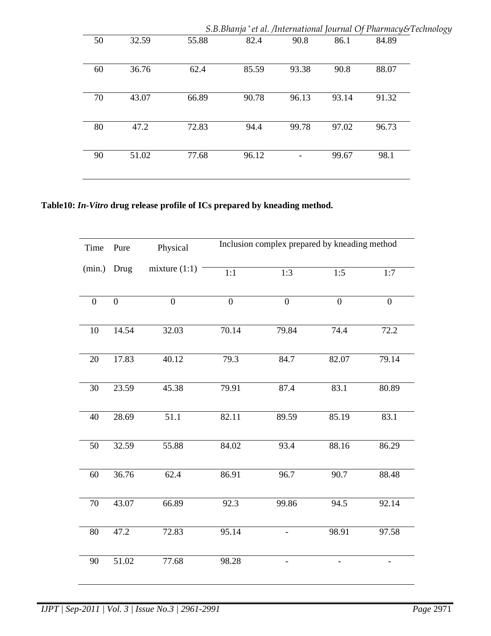|    |       |       | S.B.Bhanja*et al. /International Journal Of Pharmacy&Technology |       |       |       |  |
|----|-------|-------|-----------------------------------------------------------------|-------|-------|-------|--|
| 50 | 32.59 | 55.88 | 82.4                                                            | 90.8  | 86.1  | 84.89 |  |
| 60 | 36.76 | 62.4  | 85.59                                                           | 93.38 | 90.8  | 88.07 |  |
| 70 | 43.07 | 66.89 | 90.78                                                           | 96.13 | 93.14 | 91.32 |  |
| 80 | 47.2  | 72.83 | 94.4                                                            | 99.78 | 97.02 | 96.73 |  |
| 90 | 51.02 | 77.68 | 96.12                                                           |       | 99.67 | 98.1  |  |

**Table10:** *In-Vitro* **drug release profile of ICs prepared by kneading method.** 

| Time           | Pure             | Physical        | Inclusion complex prepared by kneading method |                  |                  |                  |  |
|----------------|------------------|-----------------|-----------------------------------------------|------------------|------------------|------------------|--|
| (min.)         | Drug             | mixture $(1:1)$ | $\overline{1:1}$                              | 1:3              | 1:5              | 1:7              |  |
| $\overline{0}$ | $\boldsymbol{0}$ | $\overline{0}$  | $\boldsymbol{0}$                              | $\boldsymbol{0}$ | $\boldsymbol{0}$ | $\boldsymbol{0}$ |  |
| 10             | 14.54            | 32.03           | 70.14                                         | 79.84            | 74.4             | 72.2             |  |
| 20             | 17.83            | 40.12           | 79.3                                          | 84.7             | 82.07            | 79.14            |  |
| 30             | 23.59            | 45.38           | 79.91                                         | 87.4             | 83.1             | 80.89            |  |
| 40             | 28.69            | 51.1            | 82.11                                         | 89.59            | 85.19            | 83.1             |  |
| 50             | 32.59            | 55.88           | 84.02                                         | 93.4             | 88.16            | 86.29            |  |
| 60             | 36.76            | 62.4            | 86.91                                         | 96.7             | 90.7             | 88.48            |  |
| $70\,$         | 43.07            | 66.89           | 92.3                                          | 99.86            | 94.5             | 92.14            |  |
| 80             | 47.2             | 72.83           | 95.14                                         |                  | 98.91            | 97.58            |  |
| 90             | 51.02            | 77.68           | 98.28                                         |                  |                  |                  |  |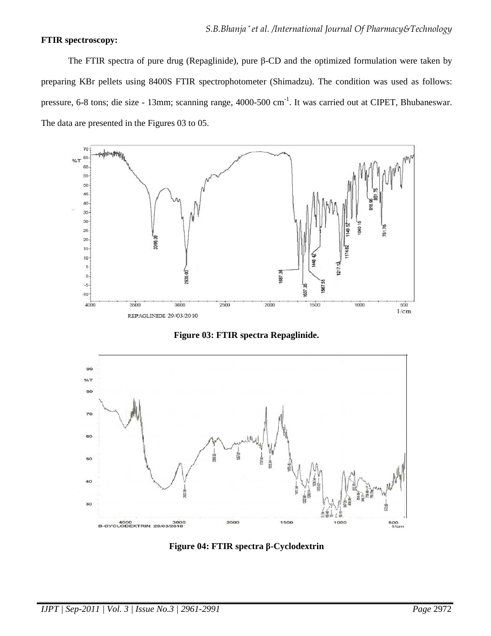#### **FTIR spectroscopy:**

 The FTIR spectra of pure drug (Repaglinide), pure β-CD and the optimized formulation were taken by preparing KBr pellets using 8400S FTIR spectrophotometer (Shimadzu). The condition was used as follows: pressure, 6-8 tons; die size - 13mm; scanning range, 4000-500 cm-1. It was carried out at CIPET, Bhubaneswar. The data are presented in the Figures 03 to 05.



**Figure 03: FTIR spectra Repaglinide.** 



**Figure 04: FTIR spectra β-Cyclodextrin**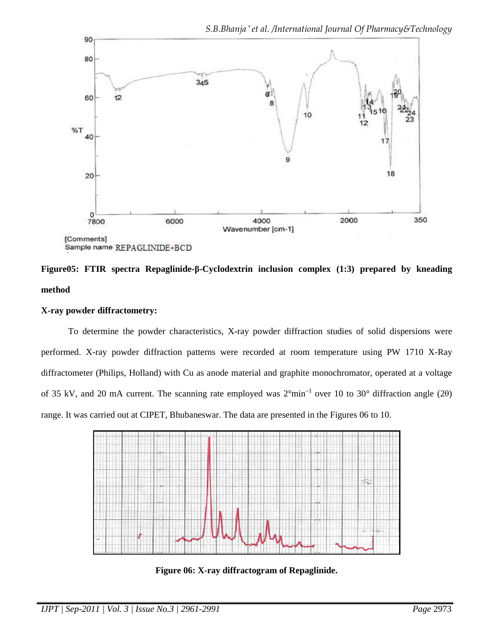

**Figure05: FTIR spectra Repaglinide-β-Cyclodextrin inclusion complex (1:3) prepared by kneading method**

### **X-ray powder diffractometry:**

 To determine the powder characteristics, X-ray powder diffraction studies of solid dispersions were performed. X-ray powder diffraction patterns were recorded at room temperature using PW 1710 X-Ray diffractometer (Philips, Holland) with Cu as anode material and graphite monochromator, operated at a voltage of 35 kV, and 20 mA current. The scanning rate employed was 2°min–1 over 10 to 30° diffraction angle (2θ) range. It was carried out at CIPET, Bhubaneswar. The data are presented in the Figures 06 to 10.



**Figure 06: X-ray diffractogram of Repaglinide.**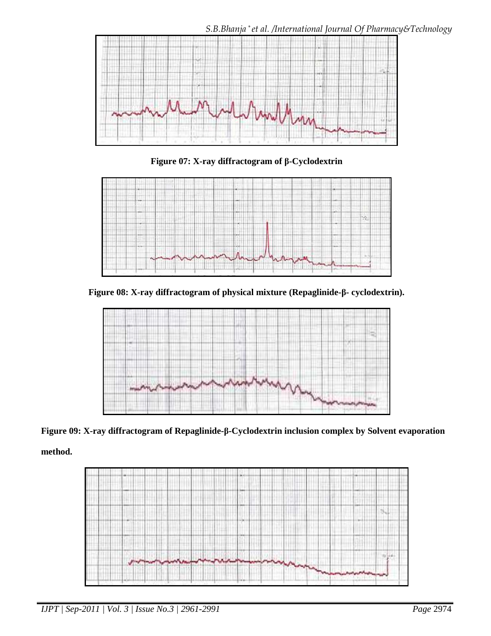

**Figure 07: X-ray diffractogram of β-Cyclodextrin**



**Figure 08: X-ray diffractogram of physical mixture (Repaglinide-β- cyclodextrin).**



**Figure 09: X-ray diffractogram of Repaglinide-β-Cyclodextrin inclusion complex by Solvent evaporation** 

**method.** 

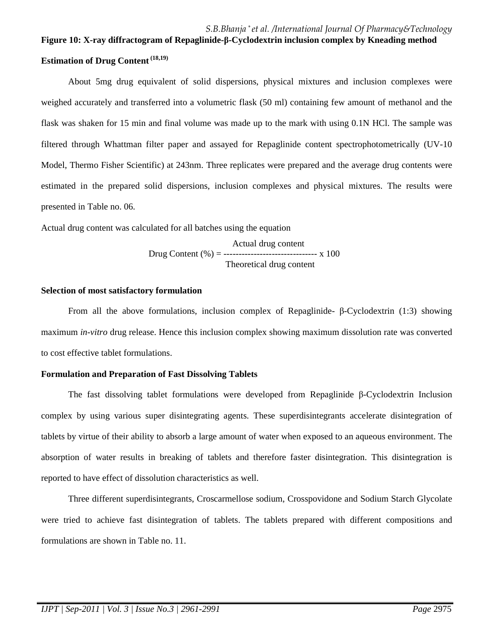# **Figure 10: X-ray diffractogram of Repaglinide-β-Cyclodextrin inclusion complex by Kneading method Estimation of Drug Content (18,19)**

 About 5mg drug equivalent of solid dispersions, physical mixtures and inclusion complexes were weighed accurately and transferred into a volumetric flask (50 ml) containing few amount of methanol and the flask was shaken for 15 min and final volume was made up to the mark with using 0.1N HCl. The sample was filtered through Whattman filter paper and assayed for Repaglinide content spectrophotometrically (UV-10 Model, Thermo Fisher Scientific) at 243nm. Three replicates were prepared and the average drug contents were estimated in the prepared solid dispersions, inclusion complexes and physical mixtures. The results were presented in Table no. 06.

Actual drug content was calculated for all batches using the equation

 Actual drug content Drug Content  $(\% ) =$  ------------------------------- x 100 Theoretical drug content

#### **Selection of most satisfactory formulation**

 From all the above formulations, inclusion complex of Repaglinide- β-Cyclodextrin (1:3) showing maximum *in-vitro* drug release. Hence this inclusion complex showing maximum dissolution rate was converted to cost effective tablet formulations.

#### **Formulation and Preparation of Fast Dissolving Tablets**

The fast dissolving tablet formulations were developed from Repaglinide β-Cyclodextrin Inclusion complex by using various super disintegrating agents. These superdisintegrants accelerate disintegration of tablets by virtue of their ability to absorb a large amount of water when exposed to an aqueous environment. The absorption of water results in breaking of tablets and therefore faster disintegration. This disintegration is reported to have effect of dissolution characteristics as well.

Three different superdisintegrants, Croscarmellose sodium, Crosspovidone and Sodium Starch Glycolate were tried to achieve fast disintegration of tablets. The tablets prepared with different compositions and formulations are shown in Table no. 11.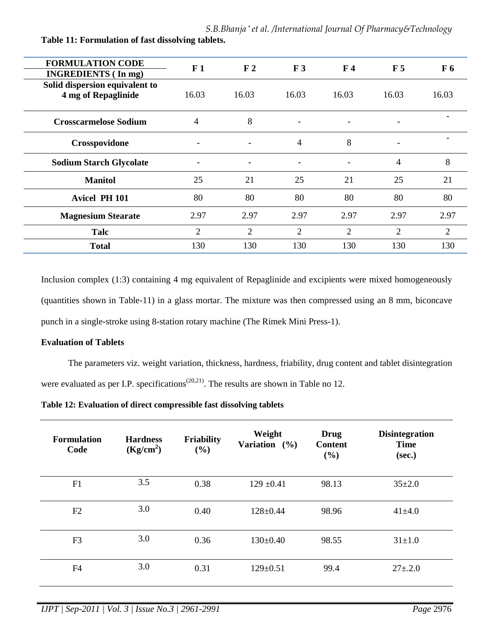| <b>FORMULATION CODE</b><br><b>INGREDIENTS</b> (In mg) | F1                       | F <sub>2</sub> | F <sub>3</sub> | F <sub>4</sub> | F <sub>5</sub>           | F <sub>6</sub> |
|-------------------------------------------------------|--------------------------|----------------|----------------|----------------|--------------------------|----------------|
| Solid dispersion equivalent to<br>4 mg of Repaglinide | 16.03                    | 16.03          | 16.03          | 16.03          | 16.03                    | 16.03          |
| <b>Crosscarmelose Sodium</b>                          | 4                        | 8              | -              |                |                          |                |
| Crosspovidone                                         | $\overline{\phantom{a}}$ |                | $\overline{4}$ | 8              | $\overline{\phantom{0}}$ |                |
| <b>Sodium Starch Glycolate</b>                        |                          |                | -              |                | 4                        | 8              |
| <b>Manitol</b>                                        | 25                       | 21             | 25             | 21             | 25                       | 21             |
| <b>Avicel PH 101</b>                                  | 80                       | 80             | 80             | 80             | 80                       | 80             |
| <b>Magnesium Stearate</b>                             | 2.97                     | 2.97           | 2.97           | 2.97           | 2.97                     | 2.97           |
| Talc                                                  | $\overline{2}$           | $\overline{2}$ | $\overline{2}$ | $\overline{2}$ | $\overline{2}$           | $\overline{2}$ |
| <b>Total</b>                                          | 130                      | 130            | 130            | 130            | 130                      | 130            |

**Table 11: Formulation of fast dissolving tablets.** 

Inclusion complex (1:3) containing 4 mg equivalent of Repaglinide and excipients were mixed homogeneously (quantities shown in Table-11) in a glass mortar. The mixture was then compressed using an 8 mm, biconcave punch in a single-stroke using 8-station rotary machine (The Rimek Mini Press-1).

#### **Evaluation of Tablets**

 The parameters viz. weight variation, thickness, hardness, friability, drug content and tablet disintegration were evaluated as per I.P. specifications<sup> $(20,21)$ </sup>. The results are shown in Table no 12.

| Table 12: Evaluation of direct compressible fast dissolving tablets |  |  |
|---------------------------------------------------------------------|--|--|
|---------------------------------------------------------------------|--|--|

| <b>Formulation</b><br>Code | <b>Hardness</b><br>(Kg/cm <sup>2</sup> ) | <b>Friability</b><br>(%) | Weight<br>Variation $(%)$ | <b>Drug</b><br><b>Content</b><br>(%) | <b>Disintegration</b><br><b>Time</b><br>(sec.) |
|----------------------------|------------------------------------------|--------------------------|---------------------------|--------------------------------------|------------------------------------------------|
| F1                         | 3.5                                      | 0.38                     | $129 \pm 0.41$            | 98.13                                | $35 \pm 2.0$                                   |
| F2                         | 3.0                                      | 0.40                     | $128 \pm 0.44$            | 98.96                                | $41 \pm 4.0$                                   |
| F <sub>3</sub>             | 3.0                                      | 0.36                     | $130 \pm 0.40$            | 98.55                                | $31 \pm 1.0$                                   |
| F4                         | 3.0                                      | 0.31                     | $129 \pm 0.51$            | 99.4                                 | $27 \pm 0.2.0$                                 |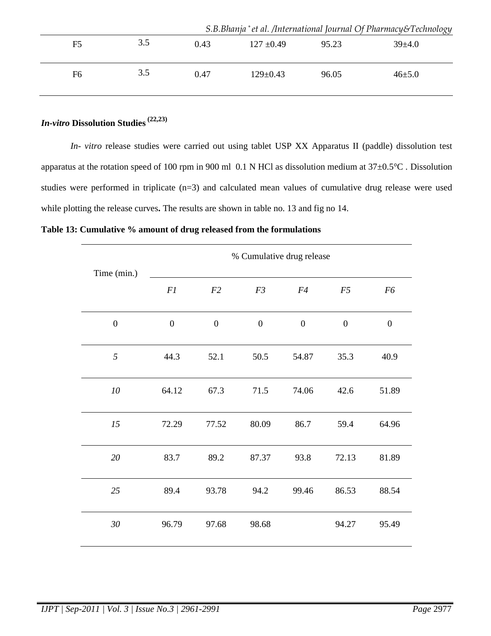|                |     |      |                |       | S.B.Bhanja* et al. /International Journal Of Pharmacy&Technology |
|----------------|-----|------|----------------|-------|------------------------------------------------------------------|
| F5             | 3.5 | 0.43 | $127 \pm 0.49$ | 95.23 | $39+4.0$                                                         |
| F <sub>6</sub> | 3.5 | 0.47 | $129 \pm 0.43$ | 96.05 | $46 \pm 5.0$                                                     |

# *In-vitro* **Dissolution Studies (22,23)**

 *In- vitro* release studies were carried out using tablet USP XX Apparatus II (paddle) dissolution test apparatus at the rotation speed of 100 rpm in 900 ml 0.1 N HCl as dissolution medium at 37±0.5°C . Dissolution studies were performed in triplicate (n=3) and calculated mean values of cumulative drug release were used while plotting the release curves**.** The results are shown in table no. 13 and fig no 14.

**Table 13: Cumulative % amount of drug released from the formulations** 

|                  |                  |                  | % Cumulative drug release |                  |                  |                  |
|------------------|------------------|------------------|---------------------------|------------------|------------------|------------------|
| Time (min.)      | F1               | F2               | F3                        | F4               | F5               | F6               |
| $\boldsymbol{0}$ | $\boldsymbol{0}$ | $\boldsymbol{0}$ | $\boldsymbol{0}$          | $\boldsymbol{0}$ | $\boldsymbol{0}$ | $\boldsymbol{0}$ |
| 5                | 44.3             | 52.1             | 50.5                      | 54.87            | 35.3             | 40.9             |
| 10               | 64.12            | 67.3             | 71.5                      | 74.06            | 42.6             | 51.89            |
| 15               | 72.29            | 77.52            | 80.09                     | 86.7             | 59.4             | 64.96            |
| 20               | 83.7             | 89.2             | 87.37                     | 93.8             | 72.13            | 81.89            |
| 25               | 89.4             | 93.78            | 94.2                      | 99.46            | 86.53            | 88.54            |
| 30               | 96.79            | 97.68            | 98.68                     |                  | 94.27            | 95.49            |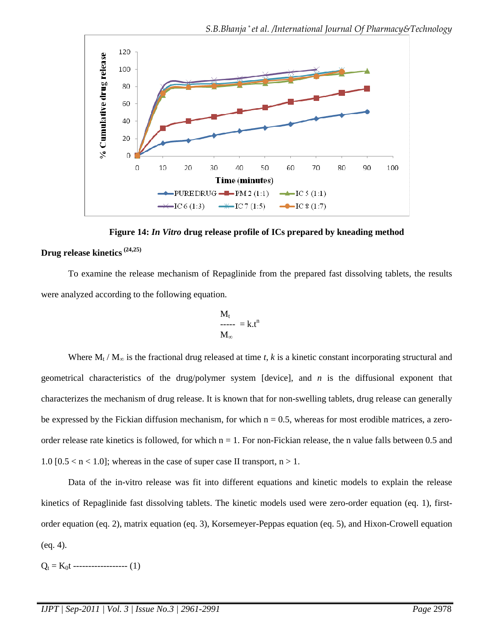

**Figure 14:** *In Vitro* **drug release profile of ICs prepared by kneading method Drug release kinetics (24,25)**

 To examine the release mechanism of Repaglinide from the prepared fast dissolving tablets, the results were analyzed according to the following equation.

$$
\begin{array}{l} M_t \\ \text{---} \\ M_\infty \end{array} = k.t^n
$$

Where  $M_t / M_\infty$  is the fractional drug released at time *t*, *k* is a kinetic constant incorporating structural and geometrical characteristics of the drug/polymer system [device], and *n* is the diffusional exponent that characterizes the mechanism of drug release. It is known that for non-swelling tablets, drug release can generally be expressed by the Fickian diffusion mechanism, for which  $n = 0.5$ , whereas for most erodible matrices, a zeroorder release rate kinetics is followed, for which  $n = 1$ . For non-Fickian release, the n value falls between 0.5 and 1.0  $[0.5 < n < 1.0]$ ; whereas in the case of super case II transport,  $n > 1$ .

 Data of the in-vitro release was fit into different equations and kinetic models to explain the release kinetics of Repaglinide fast dissolving tablets. The kinetic models used were zero-order equation (eq. 1), firstorder equation (eq. 2), matrix equation (eq. 3), Korsemeyer-Peppas equation (eq. 5), and Hixon-Crowell equation (eq. 4).

 $Q_t = K_0 t$  ------------------ (1)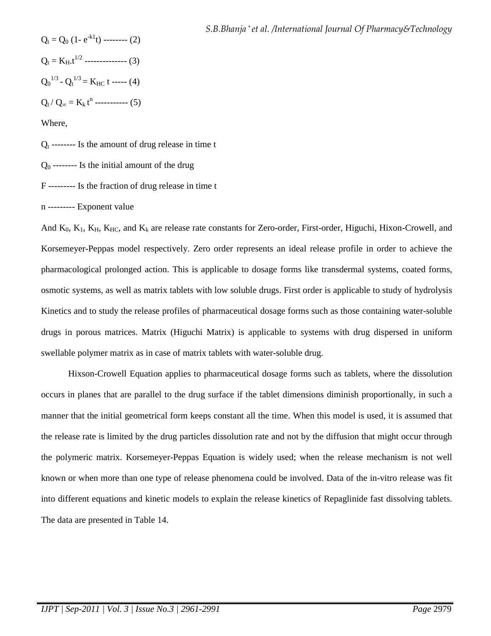$$
Q_{t} = Q_{0} (1 - e^{-kT}t) \dots (2)
$$
  
\n
$$
Q_{t} = K_{H}t^{1/2} \dots (3)
$$
  
\n
$$
Q_{0}^{1/3} - Q_{t}^{1/3} = K_{HC} t \dots (4)
$$
  
\n
$$
Q_{t}/Q_{\infty} = K_{k} t^{n} \dots (5)
$$

Where,

 $Q_t$  -------- Is the amount of drug release in time t

 $Q_0$  -------- Is the initial amount of the drug

F --------- Is the fraction of drug release in time t

n --------- Exponent value

And  $K_0$ ,  $K_1$ ,  $K_H$ ,  $K_{HC}$ , and  $K_k$  are release rate constants for Zero-order, First-order, Higuchi, Hixon-Crowell, and Korsemeyer-Peppas model respectively. Zero order represents an ideal release profile in order to achieve the pharmacological prolonged action. This is applicable to dosage forms like transdermal systems, coated forms, osmotic systems, as well as matrix tablets with low soluble drugs. First order is applicable to study of hydrolysis Kinetics and to study the release profiles of pharmaceutical dosage forms such as those containing water-soluble drugs in porous matrices. Matrix (Higuchi Matrix) is applicable to systems with drug dispersed in uniform swellable polymer matrix as in case of matrix tablets with water-soluble drug.

 Hixson-Crowell Equation applies to pharmaceutical dosage forms such as tablets, where the dissolution occurs in planes that are parallel to the drug surface if the tablet dimensions diminish proportionally, in such a manner that the initial geometrical form keeps constant all the time. When this model is used, it is assumed that the release rate is limited by the drug particles dissolution rate and not by the diffusion that might occur through the polymeric matrix. Korsemeyer-Peppas Equation is widely used; when the release mechanism is not well known or when more than one type of release phenomena could be involved. Data of the in-vitro release was fit into different equations and kinetic models to explain the release kinetics of Repaglinide fast dissolving tablets. The data are presented in Table 14.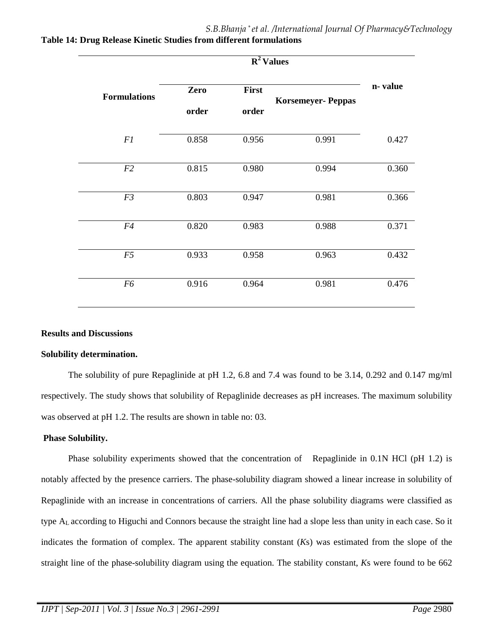| <b>Formulations</b> | Zero<br>order | First<br>order | <b>Korsemeyer-Peppas</b> | n-value |
|---------------------|---------------|----------------|--------------------------|---------|
| F1                  | 0.858         | 0.956          | 0.991                    | 0.427   |
| F2                  | 0.815         | 0.980          | 0.994                    | 0.360   |
| F3                  | 0.803         | 0.947          | 0.981                    | 0.366   |
| F4                  | 0.820         | 0.983          | 0.988                    | 0.371   |
| F5                  | 0.933         | 0.958          | 0.963                    | 0.432   |
| F6                  | 0.916         | 0.964          | 0.981                    | 0.476   |

**Table 14: Drug Release Kinetic Studies from different formulations** 

#### **Results and Discussions**

#### **Solubility determination.**

 The solubility of pure Repaglinide at pH 1.2, 6.8 and 7.4 was found to be 3.14, 0.292 and 0.147 mg/ml respectively. The study shows that solubility of Repaglinide decreases as pH increases. The maximum solubility was observed at pH 1.2. The results are shown in table no: 03.

#### **Phase Solubility.**

Phase solubility experiments showed that the concentration of Repaglinide in 0.1N HCl (pH 1.2) is notably affected by the presence carriers. The phase-solubility diagram showed a linear increase in solubility of Repaglinide with an increase in concentrations of carriers. All the phase solubility diagrams were classified as type AL according to Higuchi and Connors because the straight line had a slope less than unity in each case. So it indicates the formation of complex. The apparent stability constant (*K*s) was estimated from the slope of the straight line of the phase-solubility diagram using the equation. The stability constant, *K*s were found to be 662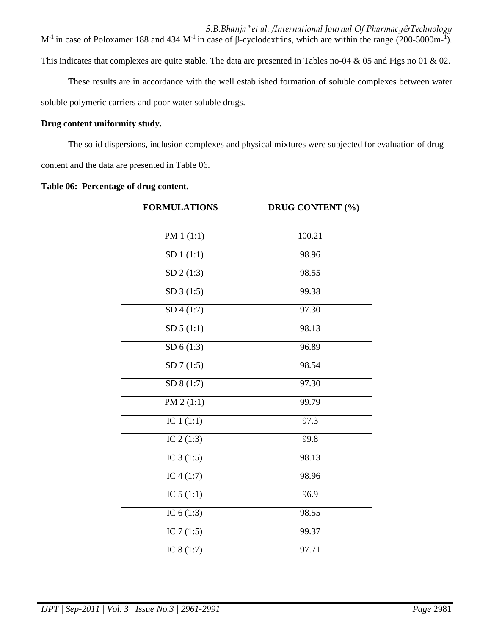*S.B.Bhanja \* et al. /International Journal Of Pharmacy&Technology*  $M^{-1}$  in case of Poloxamer 188 and 434 M<sup>-1</sup> in case of β-cyclodextrins, which are within the range (200-5000m-<sup>1</sup>). This indicates that complexes are quite stable. The data are presented in Tables no-04 & 05 and Figs no 01 & 02.

These results are in accordance with the well established formation of soluble complexes between water soluble polymeric carriers and poor water soluble drugs.

#### **Drug content uniformity study.**

The solid dispersions, inclusion complexes and physical mixtures were subjected for evaluation of drug content and the data are presented in Table 06.

**Table 06: Percentage of drug content.** 

| <b>FORMULATIONS</b>     | <b>DRUG CONTENT (%)</b> |
|-------------------------|-------------------------|
| PM $1(1:1)$             | 100.21                  |
|                         |                         |
| SD1(1:1)                | 98.96                   |
| SD 2(1:3)               | 98.55                   |
| SD3(1:5)                | 99.38                   |
| $\overline{SD4}$ (1:7)  | 97.30                   |
| SD 5(1:1)               | 98.13                   |
| SD 6(1:3)               | 96.89                   |
| SD7(1:5)                | 98.54                   |
| $\overline{SD} 8(1:7)$  | 97.30                   |
| PM $2(1:1)$             | 99.79                   |
| IC $1(1:1)$             | 97.3                    |
| IC $2(1:3)$             | 99.8                    |
| IC $3(1:5)$             | 98.13                   |
| IC $4(1:7)$             | 98.96                   |
| $\overline{IC}$ 5 (1:1) | 96.9                    |
| IC $6(1:3)$             | 98.55                   |
| IC $7(1:5)$             | 99.37                   |
| IC $8(1:7)$             | 97.71                   |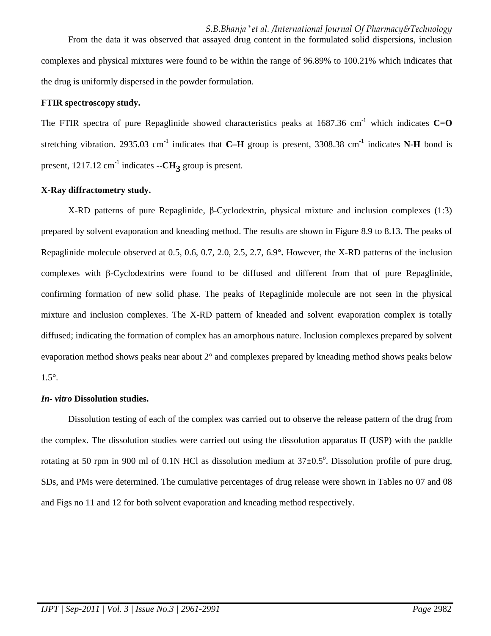From the data it was observed that assayed drug content in the formulated solid dispersions, inclusion complexes and physical mixtures were found to be within the range of 96.89% to 100.21% which indicates that the drug is uniformly dispersed in the powder formulation.

#### **FTIR spectroscopy study.**

The FTIR spectra of pure Repaglinide showed characteristics peaks at  $1687.36$  cm<sup>-1</sup> which indicates  $C=O$ stretching vibration. 2935.03 cm<sup>-1</sup> indicates that **C–H** group is present, 3308.38 cm<sup>-1</sup> indicates **N-H** bond is present,  $1217.12 \text{ cm}^{-1}$  indicates  $-CH_3$  group is present.

#### **X-Ray diffractometry study.**

 X-RD patterns of pure Repaglinide, β-Cyclodextrin, physical mixture and inclusion complexes (1:3) prepared by solvent evaporation and kneading method. The results are shown in Figure 8.9 to 8.13. The peaks of Repaglinide molecule observed at 0.5, 0.6, 0.7, 2.0, 2.5, 2.7, 6.9**°.** However, the X-RD patterns of the inclusion complexes with β-Cyclodextrins were found to be diffused and different from that of pure Repaglinide, confirming formation of new solid phase. The peaks of Repaglinide molecule are not seen in the physical mixture and inclusion complexes. The X-RD pattern of kneaded and solvent evaporation complex is totally diffused; indicating the formation of complex has an amorphous nature. Inclusion complexes prepared by solvent evaporation method shows peaks near about 2° and complexes prepared by kneading method shows peaks below 1.5°.

#### *In- vitro* **Dissolution studies.**

Dissolution testing of each of the complex was carried out to observe the release pattern of the drug from the complex. The dissolution studies were carried out using the dissolution apparatus II (USP) with the paddle rotating at 50 rpm in 900 ml of 0.1N HCl as dissolution medium at  $37\pm0.5^{\circ}$ . Dissolution profile of pure drug, SDs, and PMs were determined. The cumulative percentages of drug release were shown in Tables no 07 and 08 and Figs no 11 and 12 for both solvent evaporation and kneading method respectively.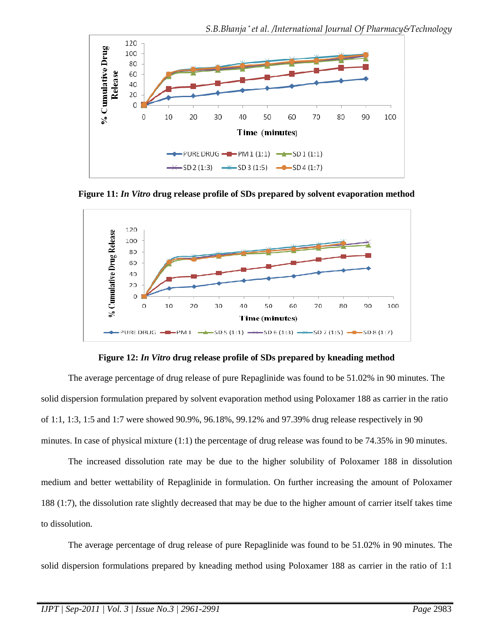

**Figure 11:** *In Vitro* **drug release profile of SDs prepared by solvent evaporation method** 



**Figure 12:** *In Vitro* **drug release profile of SDs prepared by kneading method** 

The average percentage of drug release of pure Repaglinide was found to be 51.02% in 90 minutes. The solid dispersion formulation prepared by solvent evaporation method using Poloxamer 188 as carrier in the ratio of 1:1, 1:3, 1:5 and 1:7 were showed 90.9%, 96.18%, 99.12% and 97.39% drug release respectively in 90 minutes. In case of physical mixture (1:1) the percentage of drug release was found to be 74.35% in 90 minutes.

 The increased dissolution rate may be due to the higher solubility of Poloxamer 188 in dissolution medium and better wettability of Repaglinide in formulation. On further increasing the amount of Poloxamer 188 (1:7), the dissolution rate slightly decreased that may be due to the higher amount of carrier itself takes time to dissolution.

 The average percentage of drug release of pure Repaglinide was found to be 51.02% in 90 minutes. The solid dispersion formulations prepared by kneading method using Poloxamer 188 as carrier in the ratio of 1:1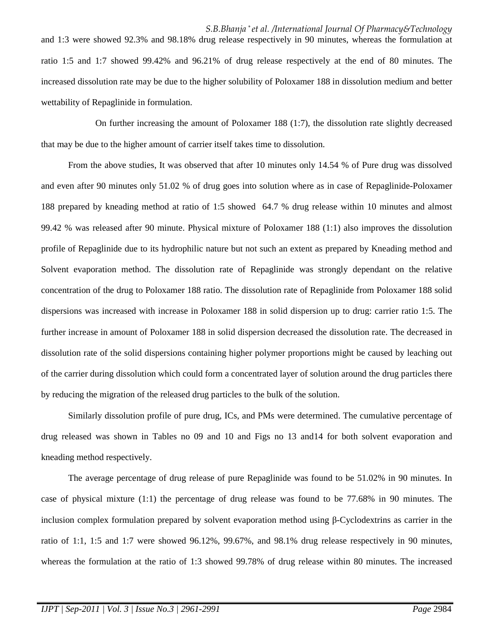and 1:3 were showed 92.3% and 98.18% drug release respectively in 90 minutes, whereas the formulation at ratio 1:5 and 1:7 showed 99.42% and 96.21% of drug release respectively at the end of 80 minutes. The increased dissolution rate may be due to the higher solubility of Poloxamer 188 in dissolution medium and better wettability of Repaglinide in formulation.

 On further increasing the amount of Poloxamer 188 (1:7), the dissolution rate slightly decreased that may be due to the higher amount of carrier itself takes time to dissolution.

From the above studies, It was observed that after 10 minutes only 14.54 % of Pure drug was dissolved and even after 90 minutes only 51.02 % of drug goes into solution where as in case of Repaglinide-Poloxamer 188 prepared by kneading method at ratio of 1:5 showed 64.7 % drug release within 10 minutes and almost 99.42 % was released after 90 minute. Physical mixture of Poloxamer 188 (1:1) also improves the dissolution profile of Repaglinide due to its hydrophilic nature but not such an extent as prepared by Kneading method and Solvent evaporation method. The dissolution rate of Repaglinide was strongly dependant on the relative concentration of the drug to Poloxamer 188 ratio. The dissolution rate of Repaglinide from Poloxamer 188 solid dispersions was increased with increase in Poloxamer 188 in solid dispersion up to drug: carrier ratio 1:5. The further increase in amount of Poloxamer 188 in solid dispersion decreased the dissolution rate. The decreased in dissolution rate of the solid dispersions containing higher polymer proportions might be caused by leaching out of the carrier during dissolution which could form a concentrated layer of solution around the drug particles there by reducing the migration of the released drug particles to the bulk of the solution.

Similarly dissolution profile of pure drug, ICs, and PMs were determined. The cumulative percentage of drug released was shown in Tables no 09 and 10 and Figs no 13 and14 for both solvent evaporation and kneading method respectively.

 The average percentage of drug release of pure Repaglinide was found to be 51.02% in 90 minutes. In case of physical mixture (1:1) the percentage of drug release was found to be 77.68% in 90 minutes. The inclusion complex formulation prepared by solvent evaporation method using β-Cyclodextrins as carrier in the ratio of 1:1, 1:5 and 1:7 were showed 96.12%, 99.67%, and 98.1% drug release respectively in 90 minutes, whereas the formulation at the ratio of 1:3 showed 99.78% of drug release within 80 minutes. The increased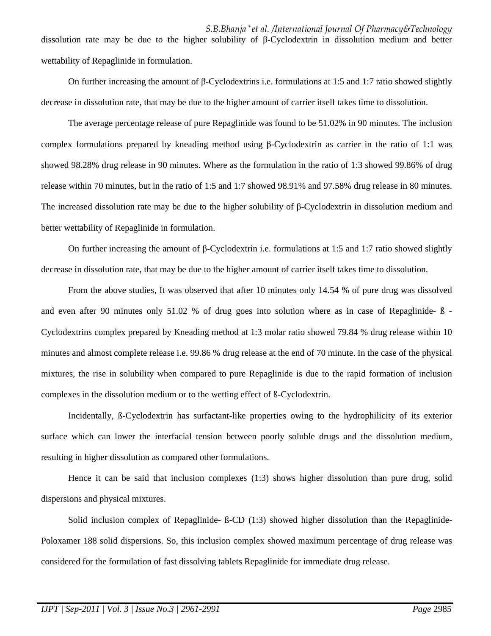*S.B.Bhanja \* et al. /International Journal Of Pharmacy&Technology* dissolution rate may be due to the higher solubility of β-Cyclodextrin in dissolution medium and better wettability of Repaglinide in formulation.

 On further increasing the amount of β-Cyclodextrins i.e. formulations at 1:5 and 1:7 ratio showed slightly decrease in dissolution rate, that may be due to the higher amount of carrier itself takes time to dissolution.

 The average percentage release of pure Repaglinide was found to be 51.02% in 90 minutes. The inclusion complex formulations prepared by kneading method using β-Cyclodextrin as carrier in the ratio of 1:1 was showed 98.28% drug release in 90 minutes. Where as the formulation in the ratio of 1:3 showed 99.86% of drug release within 70 minutes, but in the ratio of 1:5 and 1:7 showed 98.91% and 97.58% drug release in 80 minutes. The increased dissolution rate may be due to the higher solubility of β-Cyclodextrin in dissolution medium and better wettability of Repaglinide in formulation.

On further increasing the amount of β-Cyclodextrin i.e. formulations at 1:5 and 1:7 ratio showed slightly decrease in dissolution rate, that may be due to the higher amount of carrier itself takes time to dissolution.

From the above studies, It was observed that after 10 minutes only 14.54 % of pure drug was dissolved and even after 90 minutes only 51.02 % of drug goes into solution where as in case of Repaglinide- ß - Cyclodextrins complex prepared by Kneading method at 1:3 molar ratio showed 79.84 % drug release within 10 minutes and almost complete release i.e. 99.86 % drug release at the end of 70 minute. In the case of the physical mixtures, the rise in solubility when compared to pure Repaglinide is due to the rapid formation of inclusion complexes in the dissolution medium or to the wetting effect of ß-Cyclodextrin.

Incidentally, ß-Cyclodextrin has surfactant-like properties owing to the hydrophilicity of its exterior surface which can lower the interfacial tension between poorly soluble drugs and the dissolution medium, resulting in higher dissolution as compared other formulations.

Hence it can be said that inclusion complexes (1:3) shows higher dissolution than pure drug, solid dispersions and physical mixtures.

Solid inclusion complex of Repaglinide- ß-CD (1:3) showed higher dissolution than the Repaglinide-Poloxamer 188 solid dispersions. So, this inclusion complex showed maximum percentage of drug release was considered for the formulation of fast dissolving tablets Repaglinide for immediate drug release.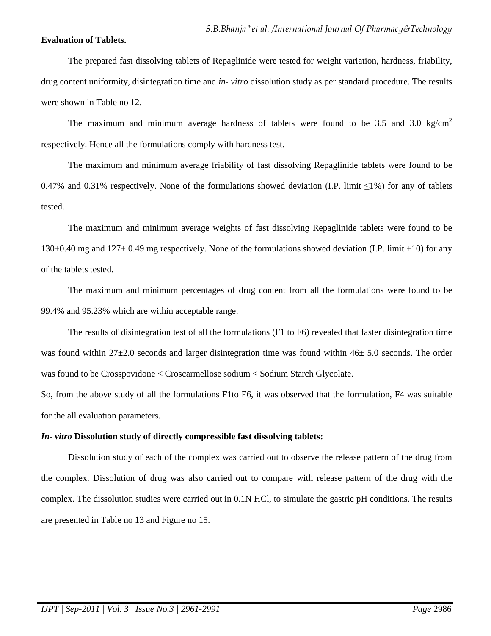#### **Evaluation of Tablets.**

 The prepared fast dissolving tablets of Repaglinide were tested for weight variation, hardness, friability, drug content uniformity, disintegration time and *in- vitro* dissolution study as per standard procedure. The results were shown in Table no 12.

The maximum and minimum average hardness of tablets were found to be 3.5 and 3.0 kg/cm<sup>2</sup> respectively. Hence all the formulations comply with hardness test.

 The maximum and minimum average friability of fast dissolving Repaglinide tablets were found to be 0.47% and 0.31% respectively. None of the formulations showed deviation (I.P. limit  $\leq$ 1%) for any of tablets tested.

 The maximum and minimum average weights of fast dissolving Repaglinide tablets were found to be 130 $\pm$ 0.40 mg and 127 $\pm$ 0.49 mg respectively. None of the formulations showed deviation (I.P. limit  $\pm$ 10) for any of the tablets tested.

 The maximum and minimum percentages of drug content from all the formulations were found to be 99.4% and 95.23% which are within acceptable range.

 The results of disintegration test of all the formulations (F1 to F6) revealed that faster disintegration time was found within  $27\pm2.0$  seconds and larger disintegration time was found within  $46\pm5.0$  seconds. The order was found to be Crosspovidone < Croscarmellose sodium < Sodium Starch Glycolate.

So, from the above study of all the formulations F1to F6, it was observed that the formulation, F4 was suitable for the all evaluation parameters.

#### *In- vitro* **Dissolution study of directly compressible fast dissolving tablets:**

Dissolution study of each of the complex was carried out to observe the release pattern of the drug from the complex. Dissolution of drug was also carried out to compare with release pattern of the drug with the complex. The dissolution studies were carried out in 0.1N HCl, to simulate the gastric pH conditions. The results are presented in Table no 13 and Figure no 15.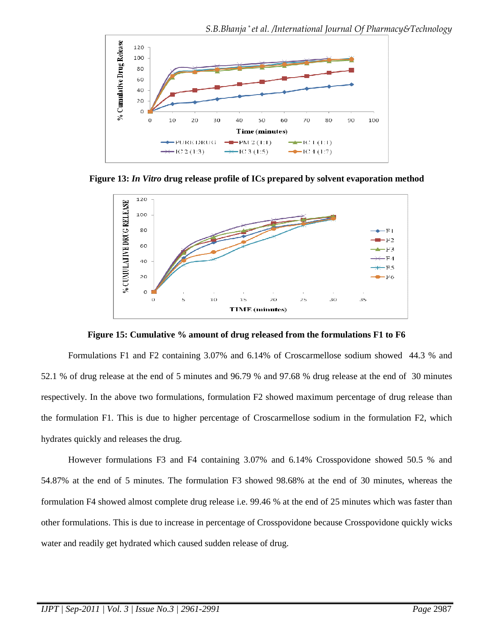

**Figure 13:** *In Vitro* **drug release profile of ICs prepared by solvent evaporation method**



**Figure 15: Cumulative % amount of drug released from the formulations F1 to F6** 

 Formulations F1 and F2 containing 3.07% and 6.14% of Croscarmellose sodium showed 44.3 % and 52.1 % of drug release at the end of 5 minutes and 96.79 % and 97.68 % drug release at the end of 30 minutes respectively. In the above two formulations, formulation F2 showed maximum percentage of drug release than the formulation F1. This is due to higher percentage of Croscarmellose sodium in the formulation F2, which hydrates quickly and releases the drug.

 However formulations F3 and F4 containing 3.07% and 6.14% Crosspovidone showed 50.5 % and 54.87% at the end of 5 minutes. The formulation F3 showed 98.68% at the end of 30 minutes, whereas the formulation F4 showed almost complete drug release i.e. 99.46 % at the end of 25 minutes which was faster than other formulations. This is due to increase in percentage of Crosspovidone because Crosspovidone quickly wicks water and readily get hydrated which caused sudden release of drug.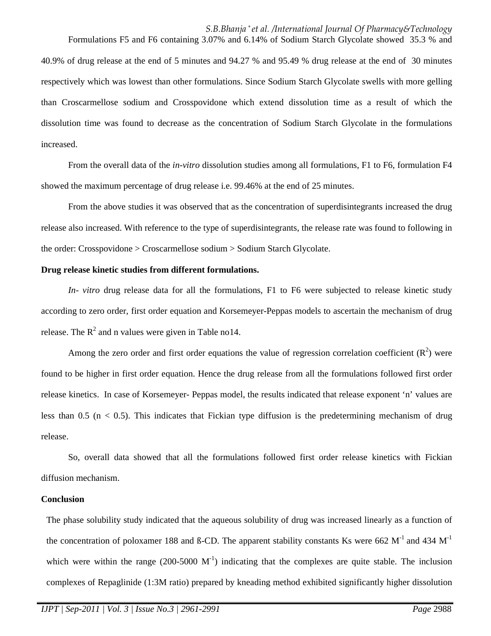Formulations F5 and F6 containing 3.07% and 6.14% of Sodium Starch Glycolate showed 35.3 % and 40.9% of drug release at the end of 5 minutes and 94.27 % and 95.49 % drug release at the end of 30 minutes respectively which was lowest than other formulations. Since Sodium Starch Glycolate swells with more gelling than Croscarmellose sodium and Crosspovidone which extend dissolution time as a result of which the dissolution time was found to decrease as the concentration of Sodium Starch Glycolate in the formulations increased.

 From the overall data of the *in-vitro* dissolution studies among all formulations, F1 to F6, formulation F4 showed the maximum percentage of drug release i.e. 99.46% at the end of 25 minutes.

 From the above studies it was observed that as the concentration of superdisintegrants increased the drug release also increased. With reference to the type of superdisintegrants, the release rate was found to following in the order: Crosspovidone > Croscarmellose sodium > Sodium Starch Glycolate.

#### **Drug release kinetic studies from different formulations.**

*In- vitro* drug release data for all the formulations, F1 to F6 were subjected to release kinetic study according to zero order, first order equation and Korsemeyer-Peppas models to ascertain the mechanism of drug release. The  $R^2$  and n values were given in Table no14.

Among the zero order and first order equations the value of regression correlation coefficient  $(R^2)$  were found to be higher in first order equation. Hence the drug release from all the formulations followed first order release kinetics. In case of Korsemeyer- Peppas model, the results indicated that release exponent 'n' values are less than  $0.5$  ( $n < 0.5$ ). This indicates that Fickian type diffusion is the predetermining mechanism of drug release.

 So, overall data showed that all the formulations followed first order release kinetics with Fickian diffusion mechanism.

#### **Conclusion**

The phase solubility study indicated that the aqueous solubility of drug was increased linearly as a function of the concentration of poloxamer 188 and ß-CD. The apparent stability constants Ks were 662  $M^{-1}$  and 434  $M^{-1}$ which were within the range (200-5000  $M<sup>-1</sup>$ ) indicating that the complexes are quite stable. The inclusion complexes of Repaglinide (1:3M ratio) prepared by kneading method exhibited significantly higher dissolution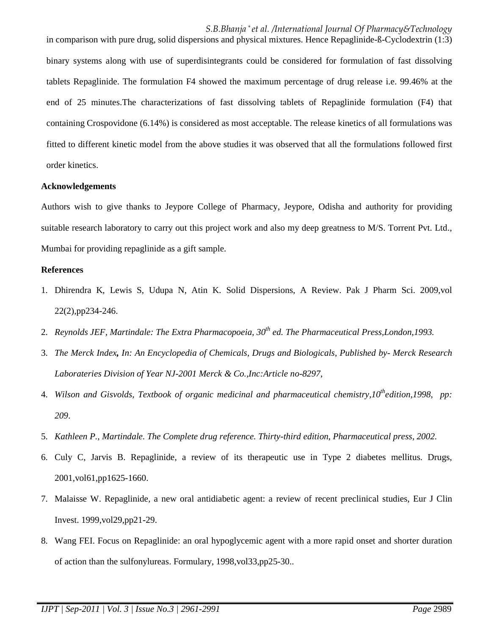in comparison with pure drug, solid dispersions and physical mixtures. Hence Repaglinide-ß-Cyclodextrin (1:3) binary systems along with use of superdisintegrants could be considered for formulation of fast dissolving tablets Repaglinide. The formulation F4 showed the maximum percentage of drug release i.e. 99.46% at the end of 25 minutes.The characterizations of fast dissolving tablets of Repaglinide formulation (F4) that containing Crospovidone (6.14%) is considered as most acceptable. The release kinetics of all formulations was fitted to different kinetic model from the above studies it was observed that all the formulations followed first order kinetics.

#### **Acknowledgements**

Authors wish to give thanks to Jeypore College of Pharmacy, Jeypore, Odisha and authority for providing suitable research laboratory to carry out this project work and also my deep greatness to M/S. Torrent Pvt. Ltd., Mumbai for providing repaglinide as a gift sample.

#### **References**

- 1. Dhirendra K, Lewis S, Udupa N, Atin K. Solid Dispersions, A Review. Pak J Pharm Sci. 2009,vol 22(2),pp234-246.
- 2. *Reynolds JEF, Martindale: The Extra Pharmacopoeia, 30th ed. The Pharmaceutical Press,London,1993.*
- 3. *The Merck Index, In: An Encyclopedia of Chemicals, Drugs and Biologicals, Published by- Merck Research Laborateries Division of Year NJ-2001 Merck & Co.,Inc:Article no-8297*,
- 4. *Wilson and Gisvolds, Textbook of organic medicinal and pharmaceutical chemistry,10thedition,1998, pp: 209*.
- 5. *Kathleen P., Martindale. The Complete drug reference. Thirty-third edition, Pharmaceutical press*, *2002.*
- 6. Culy C, Jarvis B. Repaglinide, a review of its therapeutic use in Type 2 diabetes mellitus. Drugs, 2001,vol61,pp1625-1660.
- 7. Malaisse W. Repaglinide, a new oral antidiabetic agent: a review of recent preclinical studies, Eur J Clin Invest. 1999,vol29,pp21-29.
- 8. Wang FEI. Focus on Repaglinide: an oral hypoglycemic agent with a more rapid onset and shorter duration of action than the sulfonylureas. Formulary, 1998,vol33,pp25-30..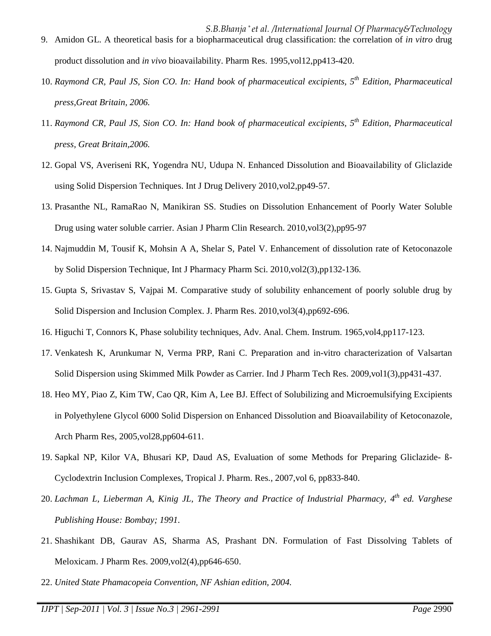*S.B.Bhanja \* et al. /International Journal Of Pharmacy&Technology* 9. Amidon GL. A theoretical basis for a biopharmaceutical drug classification: the correlation of *in vitro* drug product dissolution and *in vivo* bioavailability. Pharm Res. 1995,vol12,pp413-420.

- 10. *Raymond CR, Paul JS, Sion CO. In: Hand book of pharmaceutical excipients, 5th Edition, Pharmaceutical press,Great Britain, 2006.*
- 11. *Raymond CR, Paul JS, Sion CO. In: Hand book of pharmaceutical excipients, 5th Edition, Pharmaceutical press, Great Britain,2006.*
- 12. Gopal VS, Averiseni RK, Yogendra NU, Udupa N. Enhanced Dissolution and Bioavailability of Gliclazide using Solid Dispersion Techniques. Int J Drug Delivery 2010,vol2,pp49-57.
- 13. Prasanthe NL, RamaRao N, Manikiran SS. Studies on Dissolution Enhancement of Poorly Water Soluble Drug using water soluble carrier. Asian J Pharm Clin Research. 2010,vol3(2),pp95-97
- 14. Najmuddin M, Tousif K, Mohsin A A, Shelar S, Patel V. Enhancement of dissolution rate of Ketoconazole by Solid Dispersion Technique, Int J Pharmacy Pharm Sci. 2010,vol2(3),pp132-136.
- 15. Gupta S, Srivastav S, Vajpai M. Comparative study of solubility enhancement of poorly soluble drug by Solid Dispersion and Inclusion Complex. J. Pharm Res. 2010,vol3(4),pp692-696.
- 16. Higuchi T, Connors K, Phase solubility techniques, Adv. Anal. Chem. Instrum. 1965,vol4,pp117-123.
- 17. Venkatesh K, Arunkumar N, Verma PRP, Rani C. Preparation and in-vitro characterization of Valsartan Solid Dispersion using Skimmed Milk Powder as Carrier. Ind J Pharm Tech Res. 2009,vol1(3),pp431-437.
- 18. Heo MY, Piao Z, Kim TW, Cao QR, Kim A, Lee BJ. Effect of Solubilizing and Microemulsifying Excipients in Polyethylene Glycol 6000 Solid Dispersion on Enhanced Dissolution and Bioavailability of Ketoconazole, Arch Pharm Res, 2005,vol28,pp604-611.
- 19. Sapkal NP, Kilor VA, Bhusari KP, Daud AS, Evaluation of some Methods for Preparing Gliclazide- ß-Cyclodextrin Inclusion Complexes, Tropical J. Pharm. Res*.,* 2007,vol 6, pp833-840.
- 20. *Lachman L, Lieberman A, Kinig JL, The Theory and Practice of Industrial Pharmacy, 4th ed. Varghese Publishing House: Bombay; 1991*.
- 21. Shashikant DB, Gaurav AS, Sharma AS, Prashant DN. Formulation of Fast Dissolving Tablets of Meloxicam. J Pharm Res. 2009,vol2(4),pp646-650.
- 22. *United State Phamacopeia Convention, NF Ashian edition, 2004.*